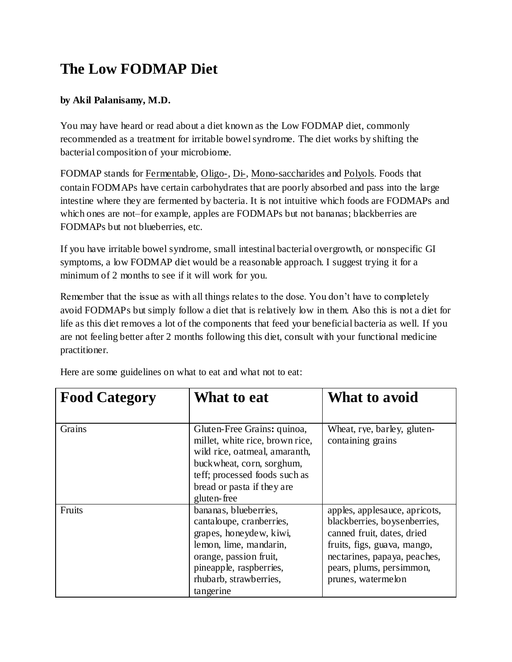## **The Low FODMAP Diet**

## **by Akil Palanisamy, M.D.**

You may have heard or read about a diet known as the Low FODMAP diet, commonly recommended as a treatment for irritable bowel syndrome. The diet works by shifting the bacterial composition of your microbiome.

FODMAP stands for [Fermentable,](http://en.wikipedia.org/wiki/Gut_flora#Carbohydrate_fermentation_and_absorption) [Oligo-,](http://en.wikipedia.org/wiki/Oligosaccharide) [Di-,](http://en.wikipedia.org/wiki/Disaccharide) [Mono-saccharides](http://en.wikipedia.org/wiki/Monosaccharide) and [Polyols.](http://en.wikipedia.org/wiki/Polyol) Foods that contain FODMAPs have certain carbohydrates that are poorly absorbed and pass into the large intestine where they are fermented by bacteria. It is not intuitive which foods are FODMAPs and which ones are not–for example, apples are FODMAPs but not bananas; blackberries are FODMAPs but not blueberries, etc.

If you have irritable bowel syndrome, small intestinal bacterial overgrowth, or nonspecific GI symptoms, a low FODMAP diet would be a reasonable approach. I suggest trying it for a minimum of 2 months to see if it will work for you.

Remember that the issue as with all things relates to the dose. You don't have to completely avoid FODMAPs but simply follow a diet that is relatively low in them. Also this is not a diet for life as this diet removes a lot of the components that feed your beneficial bacteria as well. If you are not feeling better after 2 months following this diet, consult with your functional medicine practitioner.

| <b>Food Category</b> | What to eat                                                                                                                                                                                                 | What to avoid                                                                                                                                                                                                |
|----------------------|-------------------------------------------------------------------------------------------------------------------------------------------------------------------------------------------------------------|--------------------------------------------------------------------------------------------------------------------------------------------------------------------------------------------------------------|
| Grains               | Gluten-Free Grains: quinoa,<br>millet, white rice, brown rice,<br>wild rice, oatmeal, amaranth,<br>buck wheat, corn, sorghum,<br>teff; processed foods such as<br>bread or pasta if they are<br>gluten-free | Wheat, rye, barley, gluten-<br>containing grains                                                                                                                                                             |
| Fruits               | bananas, blueberries,<br>cantaloupe, cranberries,<br>grapes, honeydew, kiwi,<br>lemon, lime, mandarin,<br>orange, passion fruit,<br>pineapple, raspberries,<br>rhubarb, strawberries,<br>tangerine          | apples, applesauce, apricots,<br>blackberries, boysenberries,<br>canned fruit, dates, dried<br>fruits, figs, guava, mango,<br>nectarines, papaya, peaches,<br>pears, plums, persimmon,<br>prunes, watermelon |

Here are some guidelines on what to eat and what not to eat: